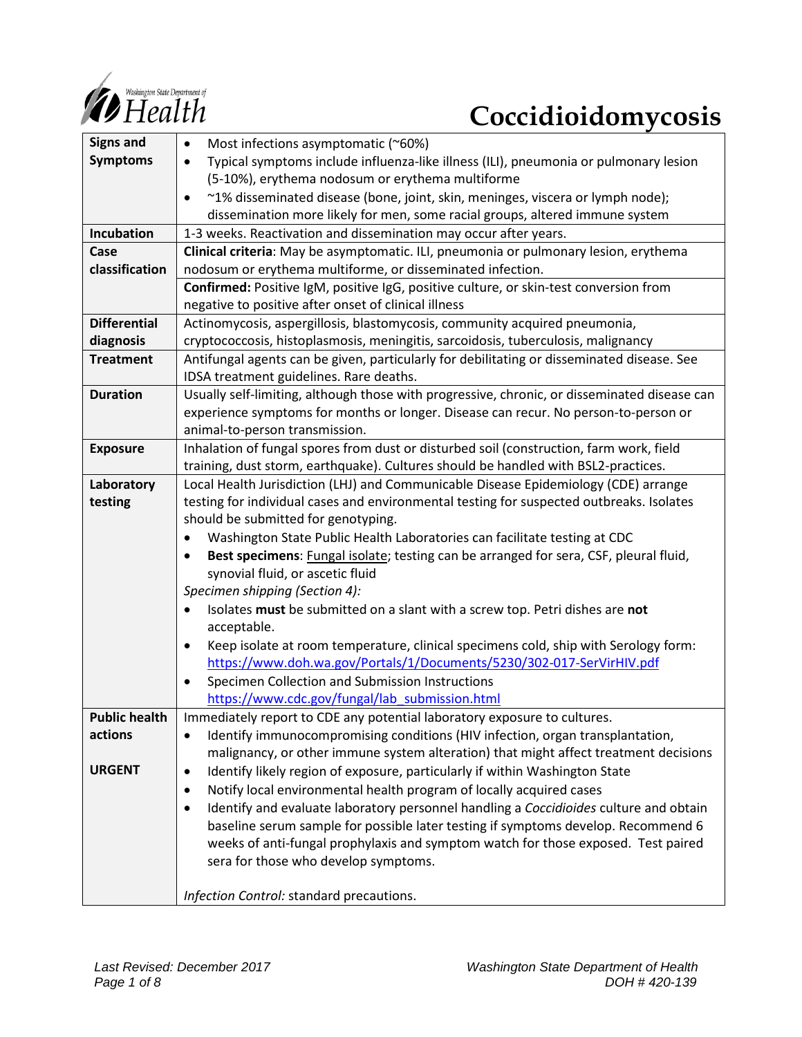

# **Coccidioidomycosis**

| <b>Signs and</b>     | Most infections asymptomatic (~60%)<br>$\bullet$                                                   |
|----------------------|----------------------------------------------------------------------------------------------------|
| <b>Symptoms</b>      | Typical symptoms include influenza-like illness (ILI), pneumonia or pulmonary lesion<br>$\bullet$  |
|                      | (5-10%), erythema nodosum or erythema multiforme                                                   |
|                      | ~1% disseminated disease (bone, joint, skin, meninges, viscera or lymph node);<br>$\bullet$        |
|                      | dissemination more likely for men, some racial groups, altered immune system                       |
| Incubation           | 1-3 weeks. Reactivation and dissemination may occur after years.                                   |
| Case                 | Clinical criteria: May be asymptomatic. ILI, pneumonia or pulmonary lesion, erythema               |
| classification       | nodosum or erythema multiforme, or disseminated infection.                                         |
|                      | Confirmed: Positive IgM, positive IgG, positive culture, or skin-test conversion from              |
|                      | negative to positive after onset of clinical illness                                               |
| <b>Differential</b>  | Actinomycosis, aspergillosis, blastomycosis, community acquired pneumonia,                         |
| diagnosis            | cryptococcosis, histoplasmosis, meningitis, sarcoidosis, tuberculosis, malignancy                  |
| <b>Treatment</b>     |                                                                                                    |
|                      | Antifungal agents can be given, particularly for debilitating or disseminated disease. See         |
|                      | IDSA treatment guidelines. Rare deaths.                                                            |
| <b>Duration</b>      | Usually self-limiting, although those with progressive, chronic, or disseminated disease can       |
|                      | experience symptoms for months or longer. Disease can recur. No person-to-person or                |
|                      | animal-to-person transmission.                                                                     |
| <b>Exposure</b>      | Inhalation of fungal spores from dust or disturbed soil (construction, farm work, field            |
|                      | training, dust storm, earthquake). Cultures should be handled with BSL2-practices.                 |
| Laboratory           | Local Health Jurisdiction (LHJ) and Communicable Disease Epidemiology (CDE) arrange                |
| testing              | testing for individual cases and environmental testing for suspected outbreaks. Isolates           |
|                      | should be submitted for genotyping.                                                                |
|                      | Washington State Public Health Laboratories can facilitate testing at CDC<br>$\bullet$             |
|                      | Best specimens: Fungal isolate; testing can be arranged for sera, CSF, pleural fluid,<br>$\bullet$ |
|                      | synovial fluid, or ascetic fluid                                                                   |
|                      | Specimen shipping (Section 4):                                                                     |
|                      | Isolates must be submitted on a slant with a screw top. Petri dishes are not                       |
|                      | acceptable.                                                                                        |
|                      | Keep isolate at room temperature, clinical specimens cold, ship with Serology form:<br>$\bullet$   |
|                      | https://www.doh.wa.gov/Portals/1/Documents/5230/302-017-SerVirHIV.pdf                              |
|                      | Specimen Collection and Submission Instructions<br>$\bullet$                                       |
|                      | https://www.cdc.gov/fungal/lab submission.html                                                     |
| <b>Public health</b> | Immediately report to CDE any potential laboratory exposure to cultures.                           |
| actions              | Identify immunocompromising conditions (HIV infection, organ transplantation,<br>$\bullet$         |
|                      | malignancy, or other immune system alteration) that might affect treatment decisions               |
| <b>URGENT</b>        | Identify likely region of exposure, particularly if within Washington State<br>$\bullet$           |
|                      | Notify local environmental health program of locally acquired cases<br>$\bullet$                   |
|                      | Identify and evaluate laboratory personnel handling a Coccidioides culture and obtain<br>$\bullet$ |
|                      | baseline serum sample for possible later testing if symptoms develop. Recommend 6                  |
|                      | weeks of anti-fungal prophylaxis and symptom watch for those exposed. Test paired                  |
|                      | sera for those who develop symptoms.                                                               |
|                      |                                                                                                    |
|                      | Infection Control: standard precautions.                                                           |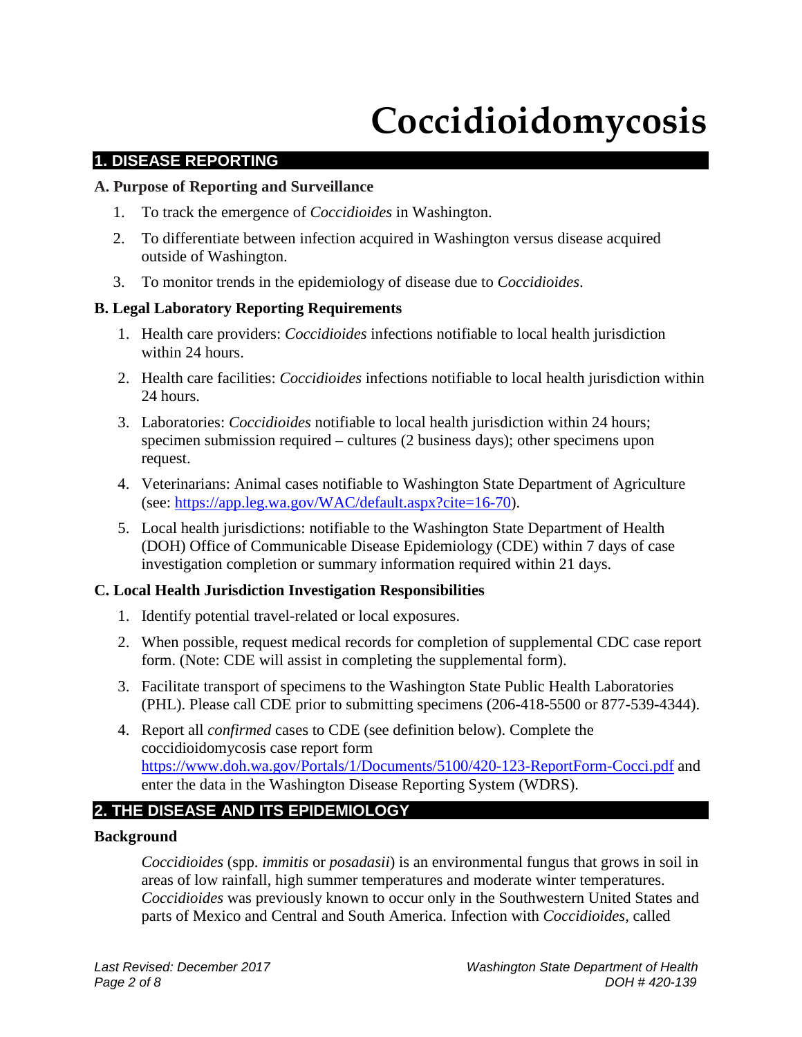## **Coccidioidomycosis**

## **1. DISEASE REPORTING**

## **A. Purpose of Reporting and Surveillance**

- 1. To track the emergence of *Coccidioides* in Washington.
- 2. To differentiate between infection acquired in Washington versus disease acquired outside of Washington.
- 3. To monitor trends in the epidemiology of disease due to *Coccidioides*.

## **B. Legal Laboratory Reporting Requirements**

- 1. Health care providers: *Coccidioides* infections notifiable to local health jurisdiction within 24 hours.
- 2. Health care facilities: *Coccidioides* infections notifiable to local health jurisdiction within 24 hours.
- 3. Laboratories: *Coccidioides* notifiable to local health jurisdiction within 24 hours; specimen submission required – cultures (2 business days); other specimens upon request.
- 4. Veterinarians: Animal cases notifiable to Washington State Department of Agriculture (see: [https://app.leg.wa.gov/WAC/default.aspx?cite=16-70\)](https://app.leg.wa.gov/WAC/default.aspx?cite=16-70).
- 5. Local health jurisdictions: notifiable to the Washington State Department of Health (DOH) Office of Communicable Disease Epidemiology (CDE) within 7 days of case investigation completion or summary information required within 21 days.

## **C. Local Health Jurisdiction Investigation Responsibilities**

- 1. Identify potential travel-related or local exposures.
- 2. When possible, request medical records for completion of supplemental CDC case report form. (Note: CDE will assist in completing the supplemental form).
- 3. Facilitate transport of specimens to the Washington State Public Health Laboratories (PHL). Please call CDE prior to submitting specimens (206-418-5500 or 877-539-4344).
- 4. Report all *confirmed* cases to CDE (see definition below). Complete the coccidioidomycosis case report form <https://www.doh.wa.gov/Portals/1/Documents/5100/420-123-ReportForm-Cocci.pdf> and enter the data in the Washington Disease Reporting System (WDRS).

## **2. THE DISEASE AND ITS EPIDEMIOLOGY**

## **Background**

*Coccidioides* (spp. *immitis* or *posadasii*) is an environmental fungus that grows in soil in areas of low rainfall, high summer temperatures and moderate winter temperatures. *Coccidioides* was previously known to occur only in the Southwestern United States and parts of Mexico and Central and South America. Infection with *Coccidioides,* called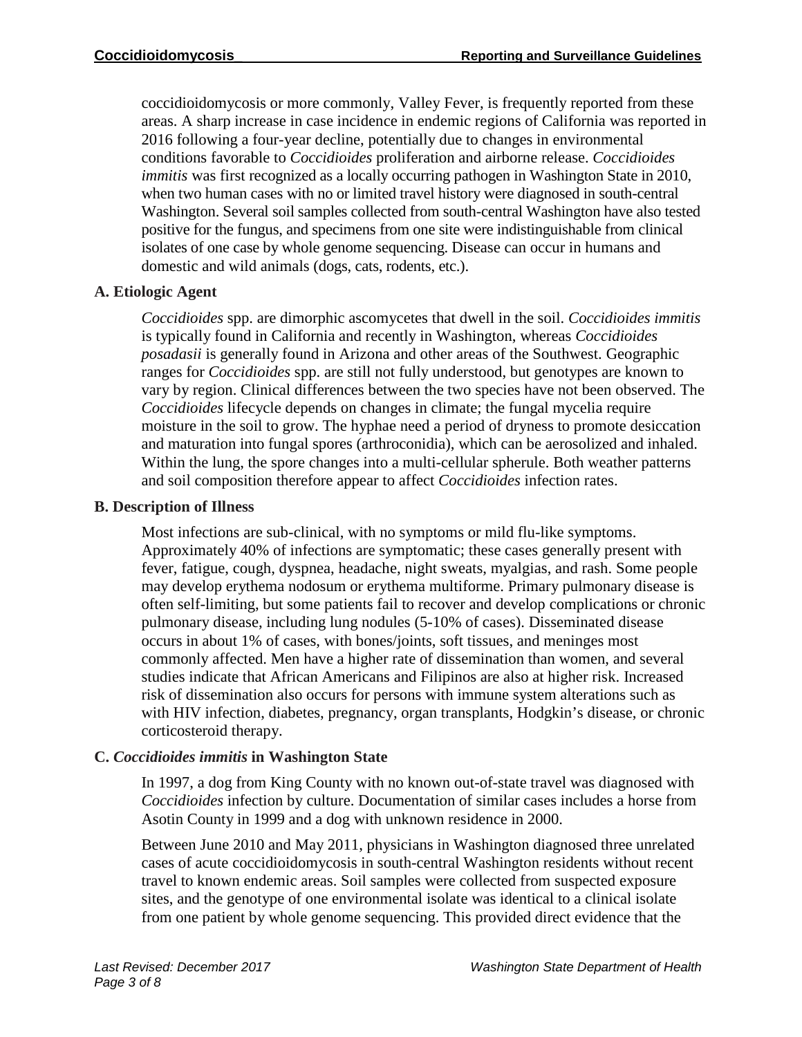coccidioidomycosis or more commonly, Valley Fever, is frequently reported from these areas. A sharp increase in case incidence in endemic regions of California was reported in 2016 following a four-year decline, potentially due to changes in environmental conditions favorable to *Coccidioides* proliferation and airborne release. *Coccidioides immitis* was first recognized as a locally occurring pathogen in Washington State in 2010, when two human cases with no or limited travel history were diagnosed in south-central Washington. Several soil samples collected from south-central Washington have also tested positive for the fungus, and specimens from one site were indistinguishable from clinical isolates of one case by whole genome sequencing. Disease can occur in humans and domestic and wild animals (dogs, cats, rodents, etc.).

## **A. Etiologic Agent**

*Coccidioides* spp. are dimorphic ascomycetes that dwell in the soil. *Coccidioides immitis*  is typically found in California and recently in Washington, whereas *Coccidioides posadasii* is generally found in Arizona and other areas of the Southwest. Geographic ranges for *Coccidioides* spp. are still not fully understood, but genotypes are known to vary by region. Clinical differences between the two species have not been observed. The *Coccidioides* lifecycle depends on changes in climate; the fungal mycelia require moisture in the soil to grow. The hyphae need a period of dryness to promote desiccation and maturation into fungal spores (arthroconidia), which can be aerosolized and inhaled. Within the lung, the spore changes into a multi-cellular spherule. Both weather patterns and soil composition therefore appear to affect *Coccidioides* infection rates.

## **B. Description of Illness**

Most infections are sub-clinical, with no symptoms or mild flu-like symptoms. Approximately 40% of infections are symptomatic; these cases generally present with fever, fatigue, cough, dyspnea, headache, night sweats, myalgias, and rash. Some people may develop erythema nodosum or erythema multiforme. Primary pulmonary disease is often self-limiting, but some patients fail to recover and develop complications or chronic pulmonary disease, including lung nodules (5-10% of cases). Disseminated disease occurs in about 1% of cases, with bones/joints, soft tissues, and meninges most commonly affected. Men have a higher rate of dissemination than women, and several studies indicate that African Americans and Filipinos are also at higher risk. Increased risk of dissemination also occurs for persons with immune system alterations such as with HIV infection, diabetes, pregnancy, organ transplants, Hodgkin's disease, or chronic corticosteroid therapy.

## **C.** *Coccidioides immitis* **in Washington State**

In 1997, a dog from King County with no known out-of-state travel was diagnosed with *Coccidioides* infection by culture. Documentation of similar cases includes a horse from Asotin County in 1999 and a dog with unknown residence in 2000.

Between June 2010 and May 2011, physicians in Washington diagnosed three unrelated cases of acute coccidioidomycosis in south-central Washington residents without recent travel to known endemic areas. Soil samples were collected from suspected exposure sites, and the genotype of one environmental isolate was identical to a clinical isolate from one patient by whole genome sequencing. This provided direct evidence that the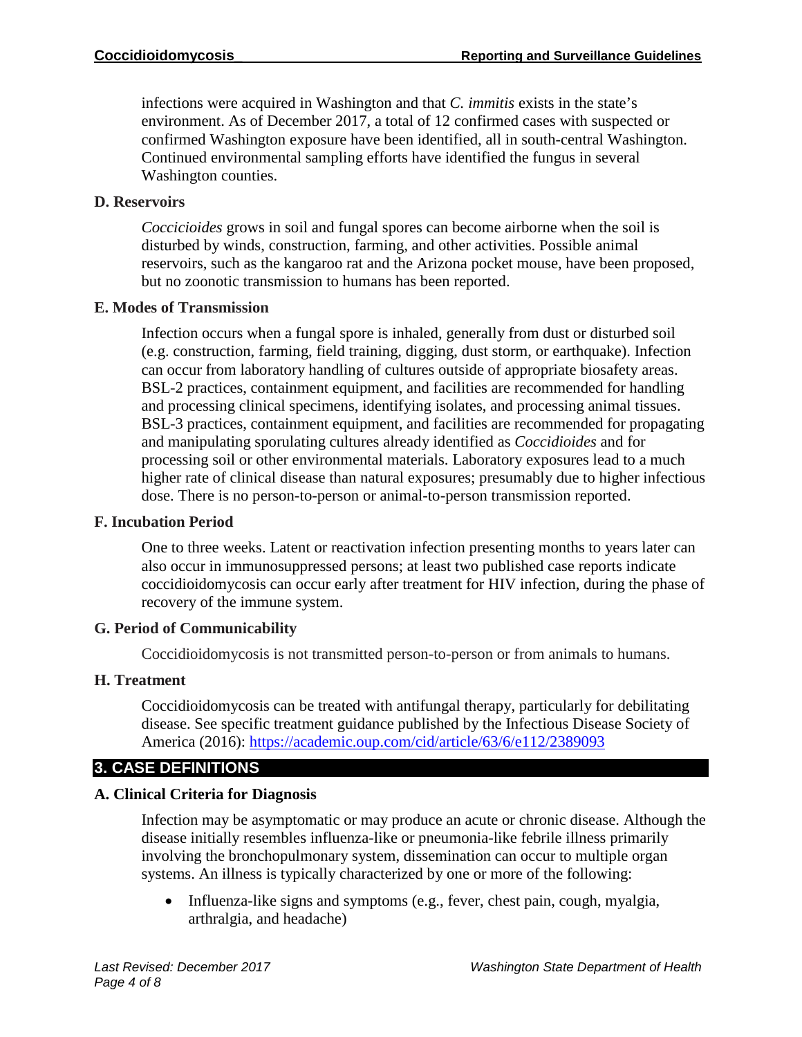infections were acquired in Washington and that *C. immitis* exists in the state's environment. As of December 2017, a total of 12 confirmed cases with suspected or confirmed Washington exposure have been identified, all in south-central Washington. Continued environmental sampling efforts have identified the fungus in several Washington counties.

## **D. Reservoirs**

*Coccicioides* grows in soil and fungal spores can become airborne when the soil is disturbed by winds, construction, farming, and other activities. Possible animal reservoirs, such as the kangaroo rat and the Arizona pocket mouse, have been proposed, but no zoonotic transmission to humans has been reported.

## **E. Modes of Transmission**

Infection occurs when a fungal spore is inhaled, generally from dust or disturbed soil (e.g. construction, farming, field training, digging, dust storm, or earthquake). Infection can occur from laboratory handling of cultures outside of appropriate biosafety areas. BSL-2 practices, containment equipment, and facilities are recommended for handling and processing clinical specimens, identifying isolates, and processing animal tissues. BSL-3 practices, containment equipment, and facilities are recommended for propagating and manipulating sporulating cultures already identified as *Coccidioides* and for processing soil or other environmental materials. Laboratory exposures lead to a much higher rate of clinical disease than natural exposures; presumably due to higher infectious dose. There is no person-to-person or animal-to-person transmission reported.

## **F. Incubation Period**

One to three weeks. Latent or reactivation infection presenting months to years later can also occur in immunosuppressed persons; at least two published case reports indicate coccidioidomycosis can occur early after treatment for HIV infection, during the phase of recovery of the immune system.

## **G. Period of Communicability**

Coccidioidomycosis is not transmitted person-to-person or from animals to humans.

## **H. Treatment**

Coccidioidomycosis can be treated with antifungal therapy, particularly for debilitating disease. See specific treatment guidance published by the Infectious Disease Society of America (2016):<https://academic.oup.com/cid/article/63/6/e112/2389093>

## **3. CASE DEFINITIONS**

## **A. Clinical Criteria for Diagnosis**

Infection may be asymptomatic or may produce an acute or chronic disease. Although the disease initially resembles influenza-like or pneumonia-like febrile illness primarily involving the bronchopulmonary system, dissemination can occur to multiple organ systems. An illness is typically characterized by one or more of the following:

• Influenza-like signs and symptoms (e.g., fever, chest pain, cough, myalgia, arthralgia, and headache)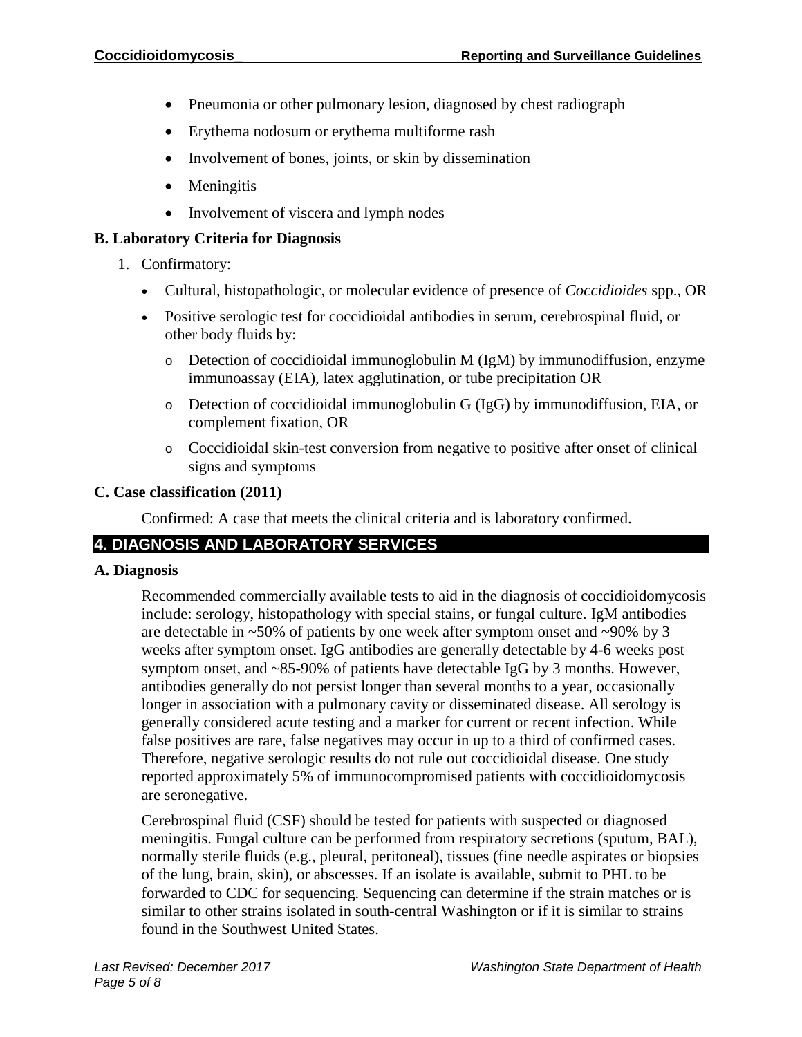- Pneumonia or other pulmonary lesion, diagnosed by chest radiograph
- Erythema nodosum or erythema multiforme rash
- Involvement of bones, joints, or skin by dissemination
- Meningitis
- Involvement of viscera and lymph nodes

## **B. Laboratory Criteria for Diagnosis**

- 1. Confirmatory:
	- Cultural, histopathologic, or molecular evidence of presence of *Coccidioides* spp., OR
	- Positive serologic test for coccidioidal antibodies in serum, cerebrospinal fluid, or other body fluids by:
		- o Detection of coccidioidal immunoglobulin M (IgM) by immunodiffusion, enzyme immunoassay (EIA), latex agglutination, or tube precipitation OR
		- $\circ$  Detection of coccidioidal immunoglobulin G (IgG) by immunodiffusion, EIA, or complement fixation, OR
		- o Coccidioidal skin-test conversion from negative to positive after onset of clinical signs and symptoms

## **C. Case classification (2011)**

Confirmed: A case that meets the clinical criteria and is laboratory confirmed.

## **4. DIAGNOSIS AND LABORATORY SERVICES**

## **A. Diagnosis**

Recommended commercially available tests to aid in the diagnosis of coccidioidomycosis include: serology, histopathology with special stains, or fungal culture. IgM antibodies are detectable in  $\sim$ 50% of patients by one week after symptom onset and  $\sim$ 90% by 3 weeks after symptom onset. IgG antibodies are generally detectable by 4-6 weeks post symptom onset, and ~85-90% of patients have detectable IgG by 3 months. However, antibodies generally do not persist longer than several months to a year, occasionally longer in association with a pulmonary cavity or disseminated disease. All serology is generally considered acute testing and a marker for current or recent infection. While false positives are rare, false negatives may occur in up to a third of confirmed cases. Therefore, negative serologic results do not rule out coccidioidal disease. One study reported approximately 5% of immunocompromised patients with coccidioidomycosis are seronegative.

Cerebrospinal fluid (CSF) should be tested for patients with suspected or diagnosed meningitis. Fungal culture can be performed from respiratory secretions (sputum, BAL), normally sterile fluids (e.g., pleural, peritoneal), tissues (fine needle aspirates or biopsies of the lung, brain, skin), or abscesses. If an isolate is available, submit to PHL to be forwarded to CDC for sequencing. Sequencing can determine if the strain matches or is similar to other strains isolated in south-central Washington or if it is similar to strains found in the Southwest United States.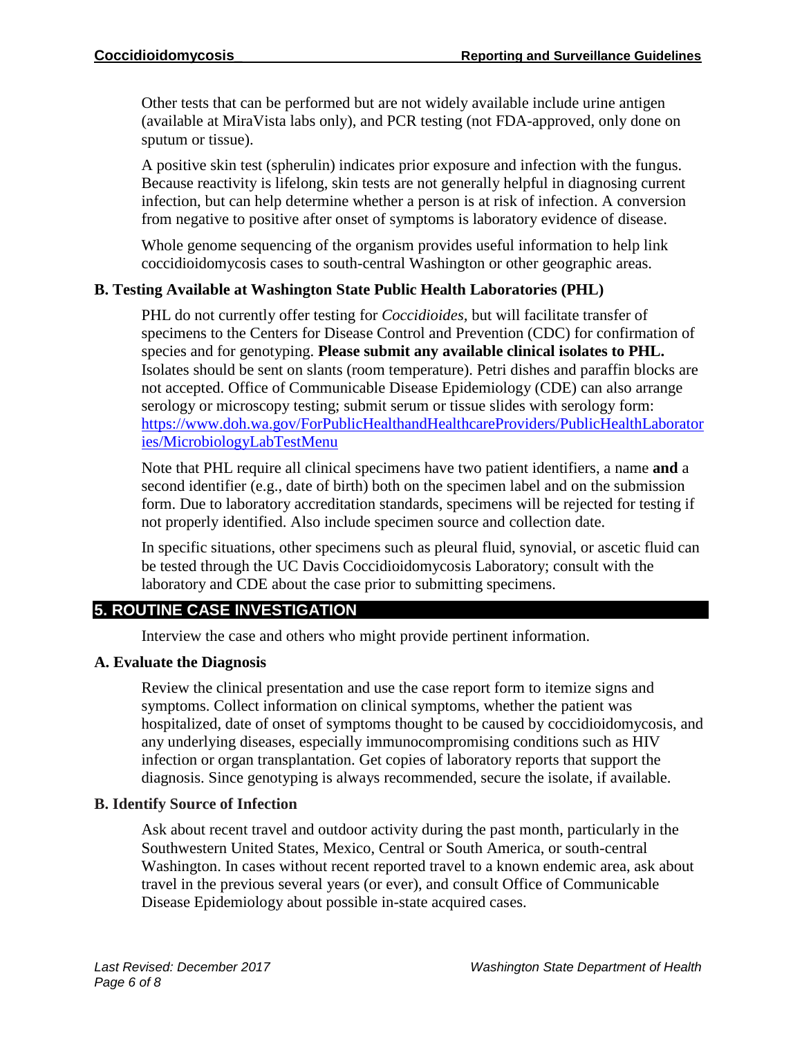Other tests that can be performed but are not widely available include urine antigen (available at MiraVista labs only), and PCR testing (not FDA-approved, only done on sputum or tissue).

A positive skin test (spherulin) indicates prior exposure and infection with the fungus. Because reactivity is lifelong, skin tests are not generally helpful in diagnosing current infection, but can help determine whether a person is at risk of infection. A conversion from negative to positive after onset of symptoms is laboratory evidence of disease.

Whole genome sequencing of the organism provides useful information to help link coccidioidomycosis cases to south-central Washington or other geographic areas.

## **B. Testing Available at Washington State Public Health Laboratories (PHL)**

PHL do not currently offer testing for *Coccidioides,* but will facilitate transfer of specimens to the Centers for Disease Control and Prevention (CDC) for confirmation of species and for genotyping. **Please submit any available clinical isolates to PHL.** Isolates should be sent on slants (room temperature). Petri dishes and paraffin blocks are not accepted. Office of Communicable Disease Epidemiology (CDE) can also arrange serology or microscopy testing; submit serum or tissue slides with serology form: [https://www.doh.wa.gov/ForPublicHealthandHealthcareProviders/PublicHealthLaborator](https://www.doh.wa.gov/ForPublicHealthandHealthcareProviders/PublicHealthLaboratories/MicrobiologyLabTestMenu) [ies/MicrobiologyLabTestMenu](https://www.doh.wa.gov/ForPublicHealthandHealthcareProviders/PublicHealthLaboratories/MicrobiologyLabTestMenu)

Note that PHL require all clinical specimens have two patient identifiers, a name **and** a second identifier (e.g., date of birth) both on the specimen label and on the submission form. Due to laboratory accreditation standards, specimens will be rejected for testing if not properly identified. Also include specimen source and collection date.

In specific situations, other specimens such as pleural fluid, synovial, or ascetic fluid can be tested through the UC Davis Coccidioidomycosis Laboratory; consult with the laboratory and CDE about the case prior to submitting specimens.

## **5. ROUTINE CASE INVESTIGATION**

Interview the case and others who might provide pertinent information.

## **A. Evaluate the Diagnosis**

Review the clinical presentation and use the case report form to itemize signs and symptoms. Collect information on clinical symptoms, whether the patient was hospitalized, date of onset of symptoms thought to be caused by coccidioidomycosis, and any underlying diseases, especially immunocompromising conditions such as HIV infection or organ transplantation. Get copies of laboratory reports that support the diagnosis. Since genotyping is always recommended, secure the isolate, if available.

## **B. Identify Source of Infection**

Ask about recent travel and outdoor activity during the past month, particularly in the Southwestern United States, Mexico, Central or South America, or south-central Washington. In cases without recent reported travel to a known endemic area, ask about travel in the previous several years (or ever), and consult Office of Communicable Disease Epidemiology about possible in-state acquired cases.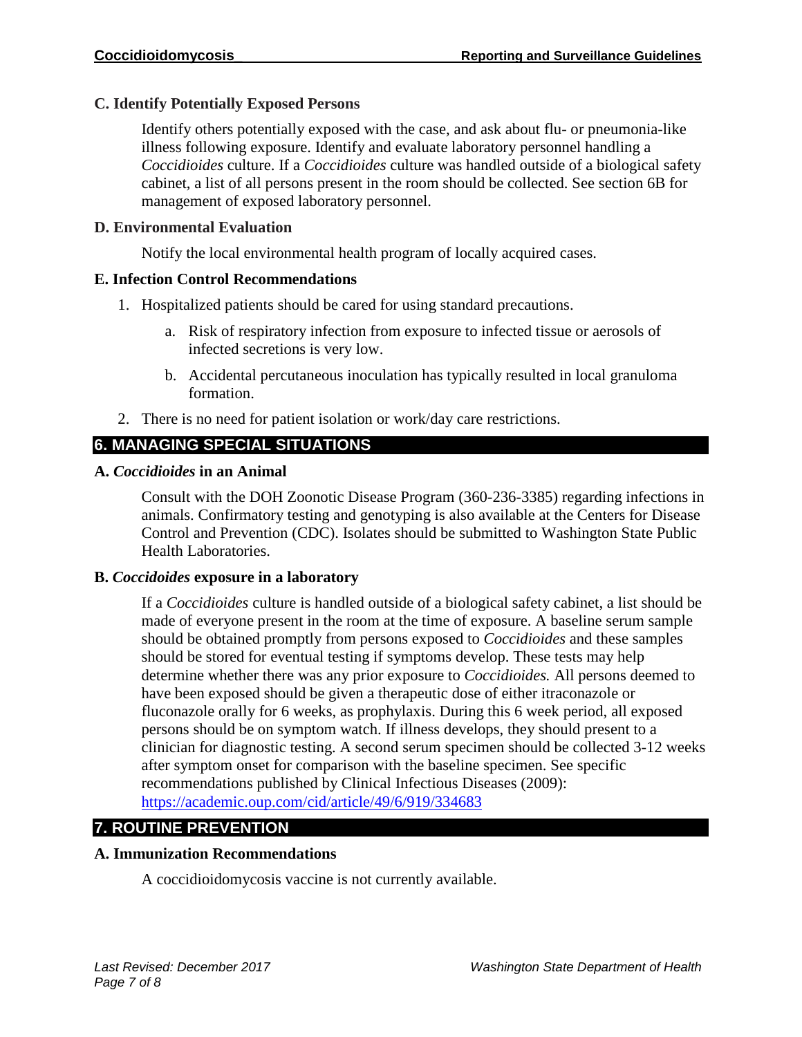## **C. Identify Potentially Exposed Persons**

Identify others potentially exposed with the case, and ask about flu- or pneumonia-like illness following exposure. Identify and evaluate laboratory personnel handling a *Coccidioides* culture. If a *Coccidioides* culture was handled outside of a biological safety cabinet, a list of all persons present in the room should be collected. See section 6B for management of exposed laboratory personnel.

## **D. Environmental Evaluation**

Notify the local environmental health program of locally acquired cases.

#### **E. Infection Control Recommendations**

- 1. Hospitalized patients should be cared for using standard precautions.
	- a. Risk of respiratory infection from exposure to infected tissue or aerosols of infected secretions is very low.
	- b. Accidental percutaneous inoculation has typically resulted in local granuloma formation.
- 2. There is no need for patient isolation or work/day care restrictions.

## **6. MANAGING SPECIAL SITUATIONS**

## **A.** *Coccidioides* **in an Animal**

Consult with the DOH Zoonotic Disease Program (360-236-3385) regarding infections in animals. Confirmatory testing and genotyping is also available at the Centers for Disease Control and Prevention (CDC). Isolates should be submitted to Washington State Public Health Laboratories.

## **B.** *Coccidoides* **exposure in a laboratory**

If a *Coccidioides* culture is handled outside of a biological safety cabinet, a list should be made of everyone present in the room at the time of exposure. A baseline serum sample should be obtained promptly from persons exposed to *Coccidioides* and these samples should be stored for eventual testing if symptoms develop. These tests may help determine whether there was any prior exposure to *Coccidioides.* All persons deemed to have been exposed should be given a therapeutic dose of either itraconazole or fluconazole orally for 6 weeks, as prophylaxis. During this 6 week period, all exposed persons should be on symptom watch. If illness develops, they should present to a clinician for diagnostic testing. A second serum specimen should be collected 3-12 weeks after symptom onset for comparison with the baseline specimen. See specific recommendations published by Clinical Infectious Diseases (2009): <https://academic.oup.com/cid/article/49/6/919/334683>

## **7. ROUTINE PREVENTION**

## **A. Immunization Recommendations**

A coccidioidomycosis vaccine is not currently available.